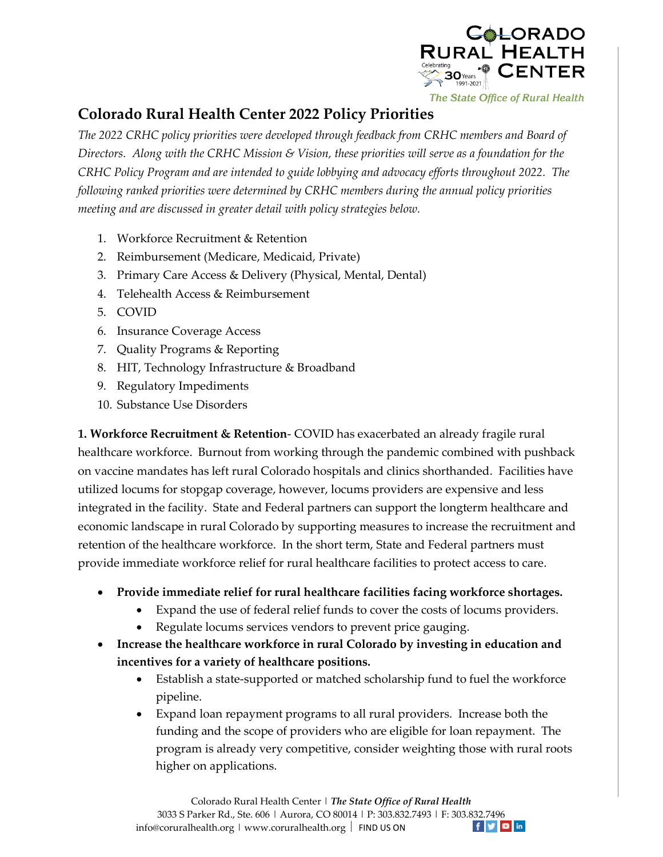

## **Colorado Rural Health Center 2022 Policy Priorities**

*The 2022 CRHC policy priorities were developed through feedback from CRHC members and Board of Directors. Along with the CRHC Mission & Vision, these priorities will serve as a foundation for the CRHC Policy Program and are intended to guide lobbying and advocacy efforts throughout 2022. The following ranked priorities were determined by CRHC members during the annual policy priorities meeting and are discussed in greater detail with policy strategies below.* 

- 1. Workforce Recruitment & Retention
- 2. Reimbursement (Medicare, Medicaid, Private)
- 3. Primary Care Access & Delivery (Physical, Mental, Dental)
- 4. Telehealth Access & Reimbursement
- 5. COVID
- 6. Insurance Coverage Access
- 7. Quality Programs & Reporting
- 8. HIT, Technology Infrastructure & Broadband
- 9. Regulatory Impediments
- 10. Substance Use Disorders

**1. Workforce Recruitment & Retention**- COVID has exacerbated an already fragile rural healthcare workforce. Burnout from working through the pandemic combined with pushback on vaccine mandates has left rural Colorado hospitals and clinics shorthanded. Facilities have utilized locums for stopgap coverage, however, locums providers are expensive and less integrated in the facility. State and Federal partners can support the longterm healthcare and economic landscape in rural Colorado by supporting measures to increase the recruitment and retention of the healthcare workforce. In the short term, State and Federal partners must provide immediate workforce relief for rural healthcare facilities to protect access to care.

- **Provide immediate relief for rural healthcare facilities facing workforce shortages.**
	- Expand the use of federal relief funds to cover the costs of locums providers.
	- Regulate locums services vendors to prevent price gauging.
- **Increase the healthcare workforce in rural Colorado by investing in education and incentives for a variety of healthcare positions.** 
	- Establish a state-supported or matched scholarship fund to fuel the workforce pipeline.
	- Expand loan repayment programs to all rural providers. Increase both the funding and the scope of providers who are eligible for loan repayment. The program is already very competitive, consider weighting those with rural roots higher on applications.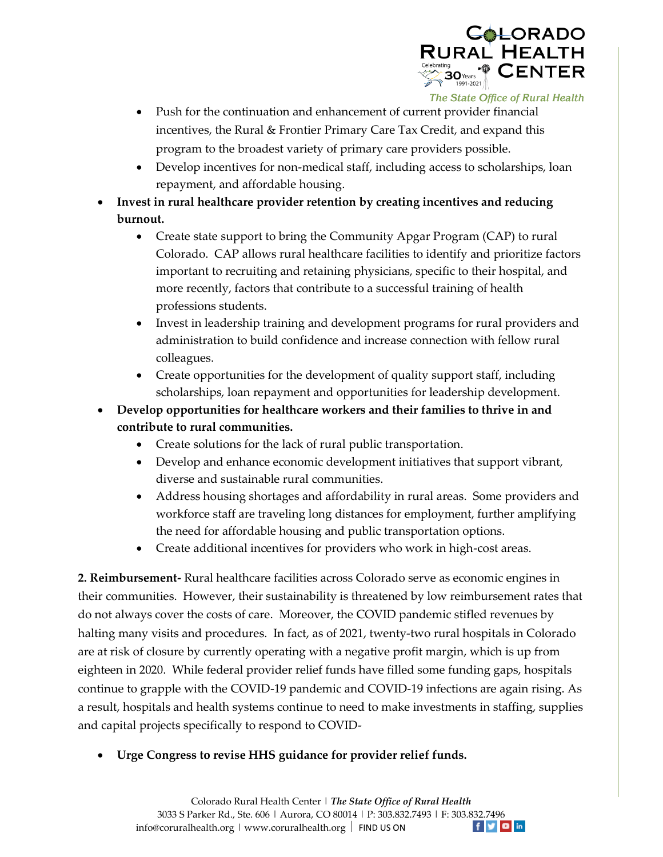

- Push for the continuation and enhancement of current provider financial incentives, the Rural & Frontier Primary Care Tax Credit, and expand this program to the broadest variety of primary care providers possible.
- Develop incentives for non-medical staff, including access to scholarships, loan repayment, and affordable housing.
- **Invest in rural healthcare provider retention by creating incentives and reducing burnout.**
	- Create state support to bring the Community Apgar Program (CAP) to rural Colorado. CAP allows rural healthcare facilities to identify and prioritize factors important to recruiting and retaining physicians, specific to their hospital, and more recently, factors that contribute to a successful training of health professions students.
	- Invest in leadership training and development programs for rural providers and administration to build confidence and increase connection with fellow rural colleagues.
	- Create opportunities for the development of quality support staff, including scholarships, loan repayment and opportunities for leadership development.
- **Develop opportunities for healthcare workers and their families to thrive in and contribute to rural communities.** 
	- Create solutions for the lack of rural public transportation.
	- Develop and enhance economic development initiatives that support vibrant, diverse and sustainable rural communities.
	- Address housing shortages and affordability in rural areas. Some providers and workforce staff are traveling long distances for employment, further amplifying the need for affordable housing and public transportation options.
	- Create additional incentives for providers who work in high-cost areas.

**2. Reimbursement-** Rural healthcare facilities across Colorado serve as economic engines in their communities. However, their sustainability is threatened by low reimbursement rates that do not always cover the costs of care. Moreover, the COVID pandemic stifled revenues by halting many visits and procedures. In fact, as of 2021, twenty-two rural hospitals in Colorado are at risk of closure by currently operating with a negative profit margin, which is up from eighteen in 2020. While federal provider relief funds have filled some funding gaps, hospitals continue to grapple with the COVID-19 pandemic and COVID-19 infections are again rising. As a result, hospitals and health systems continue to need to make investments in staffing, supplies and capital projects specifically to respond to COVID-

**Urge Congress to revise HHS guidance for provider relief funds.**

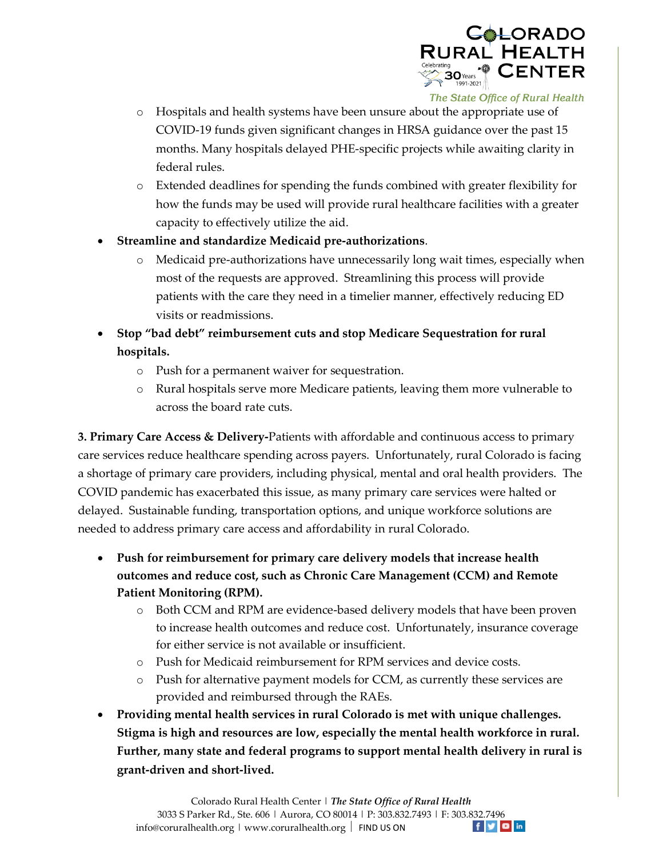

- o Hospitals and health systems have been unsure about the appropriate use of COVID-19 funds given significant changes in HRSA guidance over the past 15 months. Many hospitals delayed PHE-specific projects while awaiting clarity in federal rules.
- o Extended deadlines for spending the funds combined with greater flexibility for how the funds may be used will provide rural healthcare facilities with a greater capacity to effectively utilize the aid.
- **Streamline and standardize Medicaid pre-authorizations**.
	- o Medicaid pre-authorizations have unnecessarily long wait times, especially when most of the requests are approved. Streamlining this process will provide patients with the care they need in a timelier manner, effectively reducing ED visits or readmissions.
- **Stop "bad debt" reimbursement cuts and stop Medicare Sequestration for rural hospitals.** 
	- o Push for a permanent waiver for sequestration.
	- o Rural hospitals serve more Medicare patients, leaving them more vulnerable to across the board rate cuts.

**3. Primary Care Access & Delivery-**Patients with affordable and continuous access to primary care services reduce healthcare spending across payers. Unfortunately, rural Colorado is facing a shortage of primary care providers, including physical, mental and oral health providers. The COVID pandemic has exacerbated this issue, as many primary care services were halted or delayed. Sustainable funding, transportation options, and unique workforce solutions are needed to address primary care access and affordability in rural Colorado.

- **Push for reimbursement for primary care delivery models that increase health outcomes and reduce cost, such as Chronic Care Management (CCM) and Remote Patient Monitoring (RPM).**
	- o Both CCM and RPM are evidence-based delivery models that have been proven to increase health outcomes and reduce cost. Unfortunately, insurance coverage for either service is not available or insufficient.
	- o Push for Medicaid reimbursement for RPM services and device costs.
	- o Push for alternative payment models for CCM, as currently these services are provided and reimbursed through the RAEs.
- **Providing mental health services in rural Colorado is met with unique challenges. Stigma is high and resources are low, especially the mental health workforce in rural. Further, many state and federal programs to support mental health delivery in rural is grant-driven and short-lived.**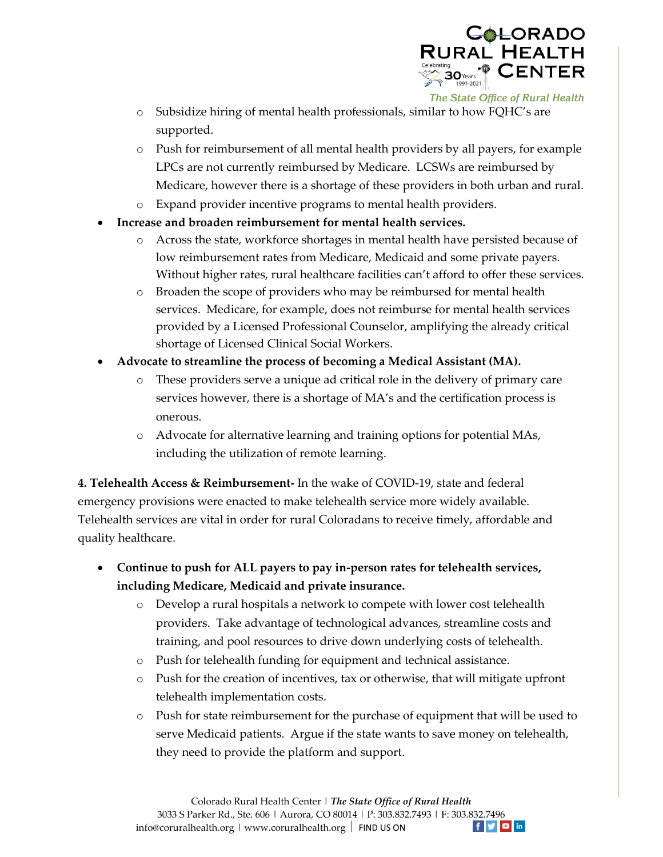

- o Subsidize hiring of mental health professionals, similar to how FQHC's are supported.
- o Push for reimbursement of all mental health providers by all payers, for example LPCs are not currently reimbursed by Medicare. LCSWs are reimbursed by Medicare, however there is a shortage of these providers in both urban and rural.
- o Expand provider incentive programs to mental health providers.
- **Increase and broaden reimbursement for mental health services.**
	- o Across the state, workforce shortages in mental health have persisted because of low reimbursement rates from Medicare, Medicaid and some private payers. Without higher rates, rural healthcare facilities can't afford to offer these services.
	- o Broaden the scope of providers who may be reimbursed for mental health services. Medicare, for example, does not reimburse for mental health services provided by a Licensed Professional Counselor, amplifying the already critical shortage of Licensed Clinical Social Workers.
- **Advocate to streamline the process of becoming a Medical Assistant (MA).** 
	- o These providers serve a unique ad critical role in the delivery of primary care services however, there is a shortage of MA's and the certification process is onerous.
	- o Advocate for alternative learning and training options for potential MAs, including the utilization of remote learning.

**4. Telehealth Access & Reimbursement-** In the wake of COVID-19, state and federal emergency provisions were enacted to make telehealth service more widely available. Telehealth services are vital in order for rural Coloradans to receive timely, affordable and quality healthcare.

- **Continue to push for ALL payers to pay in-person rates for telehealth services, including Medicare, Medicaid and private insurance.** 
	- o Develop a rural hospitals a network to compete with lower cost telehealth providers. Take advantage of technological advances, streamline costs and training, and pool resources to drive down underlying costs of telehealth.
	- o Push for telehealth funding for equipment and technical assistance.
	- $\circ$  Push for the creation of incentives, tax or otherwise, that will mitigate upfront telehealth implementation costs.
	- o Push for state reimbursement for the purchase of equipment that will be used to serve Medicaid patients. Argue if the state wants to save money on telehealth, they need to provide the platform and support.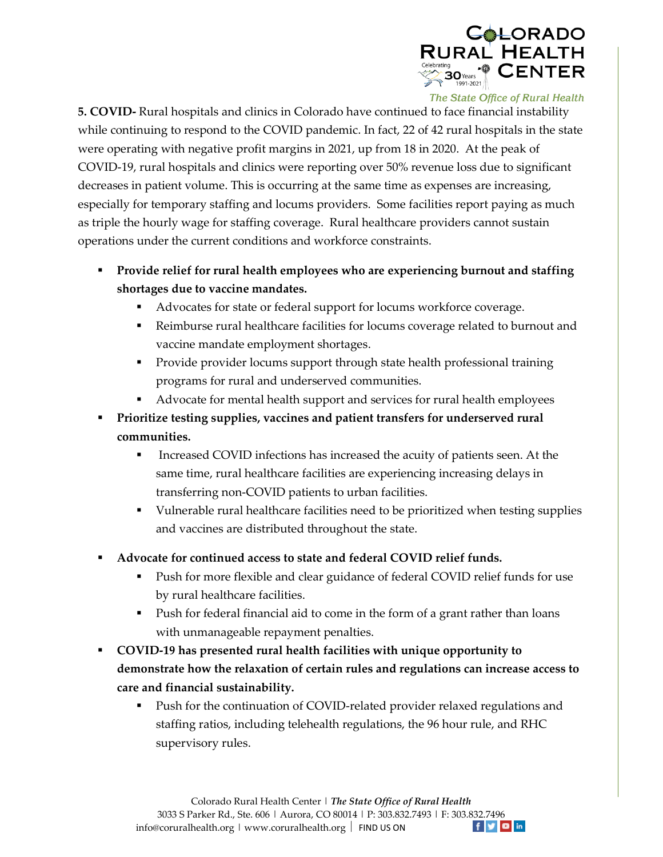

**5. COVID-** Rural hospitals and clinics in Colorado have continued to face financial instability while continuing to respond to the COVID pandemic. In fact, 22 of 42 rural hospitals in the state were operating with negative profit margins in 2021, up from 18 in 2020. At the peak of COVID-19, rural hospitals and clinics were reporting over 50% revenue loss due to significant decreases in patient volume. This is occurring at the same time as expenses are increasing, especially for temporary staffing and locums providers. Some facilities report paying as much as triple the hourly wage for staffing coverage. Rural healthcare providers cannot sustain operations under the current conditions and workforce constraints.

- **Provide relief for rural health employees who are experiencing burnout and staffing shortages due to vaccine mandates.**
	- Advocates for state or federal support for locums workforce coverage.
	- Reimburse rural healthcare facilities for locums coverage related to burnout and vaccine mandate employment shortages.
	- **Provide provider locums support through state health professional training** programs for rural and underserved communities.
	- Advocate for mental health support and services for rural health employees
- **Prioritize testing supplies, vaccines and patient transfers for underserved rural communities.**
	- **Increased COVID infections has increased the acuity of patients seen. At the** same time, rural healthcare facilities are experiencing increasing delays in transferring non-COVID patients to urban facilities.
	- Vulnerable rural healthcare facilities need to be prioritized when testing supplies and vaccines are distributed throughout the state.
- **Advocate for continued access to state and federal COVID relief funds.**
	- Push for more flexible and clear guidance of federal COVID relief funds for use by rural healthcare facilities.
	- Push for federal financial aid to come in the form of a grant rather than loans with unmanageable repayment penalties.
- **COVID-19 has presented rural health facilities with unique opportunity to demonstrate how the relaxation of certain rules and regulations can increase access to care and financial sustainability.** 
	- Push for the continuation of COVID-related provider relaxed regulations and staffing ratios, including telehealth regulations, the 96 hour rule, and RHC supervisory rules.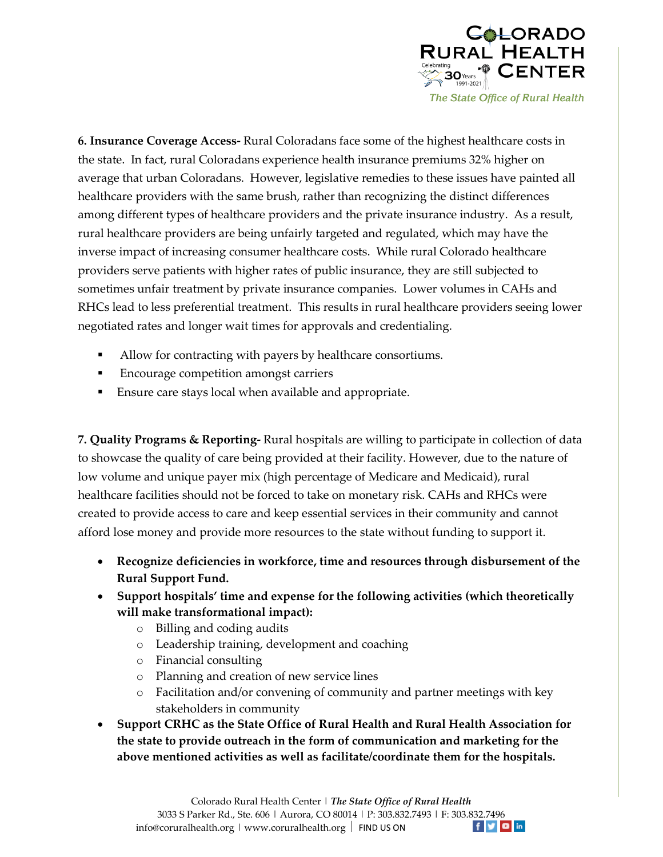

**6. Insurance Coverage Access-** Rural Coloradans face some of the highest healthcare costs in the state. In fact, rural Coloradans experience health insurance premiums 32% higher on average that urban Coloradans. However, legislative remedies to these issues have painted all healthcare providers with the same brush, rather than recognizing the distinct differences among different types of healthcare providers and the private insurance industry. As a result, rural healthcare providers are being unfairly targeted and regulated, which may have the inverse impact of increasing consumer healthcare costs.While rural Colorado healthcare providers serve patients with higher rates of public insurance, they are still subjected to sometimes unfair treatment by private insurance companies. Lower volumes in CAHs and RHCs lead to less preferential treatment. This results in rural healthcare providers seeing lower negotiated rates and longer wait times for approvals and credentialing.

- Allow for contracting with payers by healthcare consortiums.
- **Encourage competition amongst carriers**
- Ensure care stays local when available and appropriate.

**7. Quality Programs & Reporting-** Rural hospitals are willing to participate in collection of data to showcase the quality of care being provided at their facility. However, due to the nature of low volume and unique payer mix (high percentage of Medicare and Medicaid), rural healthcare facilities should not be forced to take on monetary risk. CAHs and RHCs were created to provide access to care and keep essential services in their community and cannot afford lose money and provide more resources to the state without funding to support it.

- **Recognize deficiencies in workforce, time and resources through disbursement of the Rural Support Fund.**
- **Support hospitals' time and expense for the following activities (which theoretically will make transformational impact):**
	- o Billing and coding audits
	- o Leadership training, development and coaching
	- o Financial consulting
	- o Planning and creation of new service lines
	- o Facilitation and/or convening of community and partner meetings with key stakeholders in community
- **Support CRHC as the State Office of Rural Health and Rural Health Association for the state to provide outreach in the form of communication and marketing for the above mentioned activities as well as facilitate/coordinate them for the hospitals.**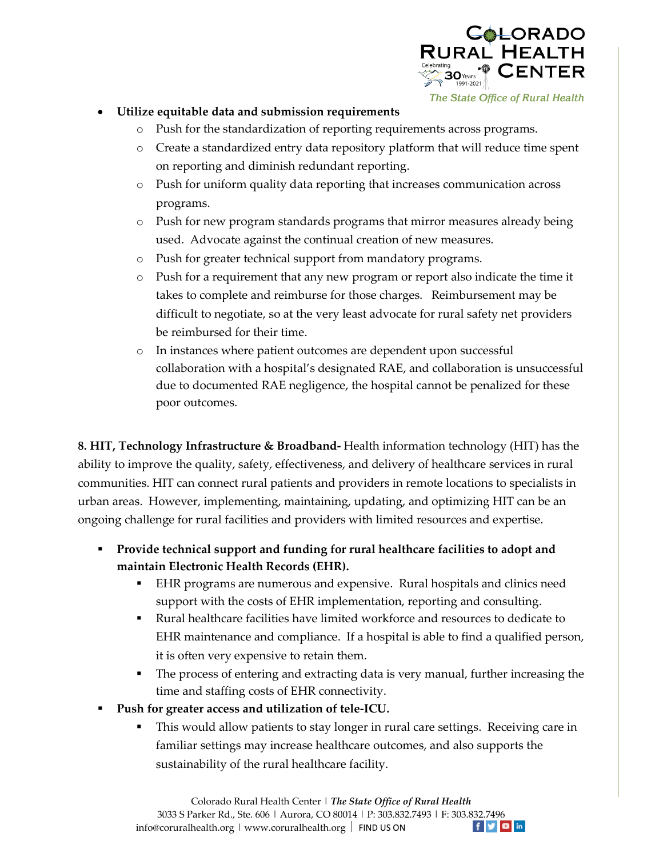

## **Utilize equitable data and submission requirements**

- o Push for the standardization of reporting requirements across programs.
- o Create a standardized entry data repository platform that will reduce time spent on reporting and diminish redundant reporting.
- o Push for uniform quality data reporting that increases communication across programs.
- o Push for new program standards programs that mirror measures already being used. Advocate against the continual creation of new measures.
- o Push for greater technical support from mandatory programs.
- o Push for a requirement that any new program or report also indicate the time it takes to complete and reimburse for those charges. Reimbursement may be difficult to negotiate, so at the very least advocate for rural safety net providers be reimbursed for their time.
- o In instances where patient outcomes are dependent upon successful collaboration with a hospital's designated RAE, and collaboration is unsuccessful due to documented RAE negligence, the hospital cannot be penalized for these poor outcomes.

**8. HIT, Technology Infrastructure & Broadband-** Health information technology (HIT) has the ability to improve the quality, safety, effectiveness, and delivery of healthcare services in rural communities. HIT can connect rural patients and providers in remote locations to specialists in urban areas. However, implementing, maintaining, updating, and optimizing HIT can be an ongoing challenge for rural facilities and providers with limited resources and expertise.

- **Provide technical support and funding for rural healthcare facilities to adopt and maintain Electronic Health Records (EHR).**
	- EHR programs are numerous and expensive. Rural hospitals and clinics need support with the costs of EHR implementation, reporting and consulting.
	- Rural healthcare facilities have limited workforce and resources to dedicate to EHR maintenance and compliance. If a hospital is able to find a qualified person, it is often very expensive to retain them.
	- The process of entering and extracting data is very manual, further increasing the time and staffing costs of EHR connectivity.
- **Push for greater access and utilization of tele-ICU.**
	- This would allow patients to stay longer in rural care settings. Receiving care in familiar settings may increase healthcare outcomes, and also supports the sustainability of the rural healthcare facility.

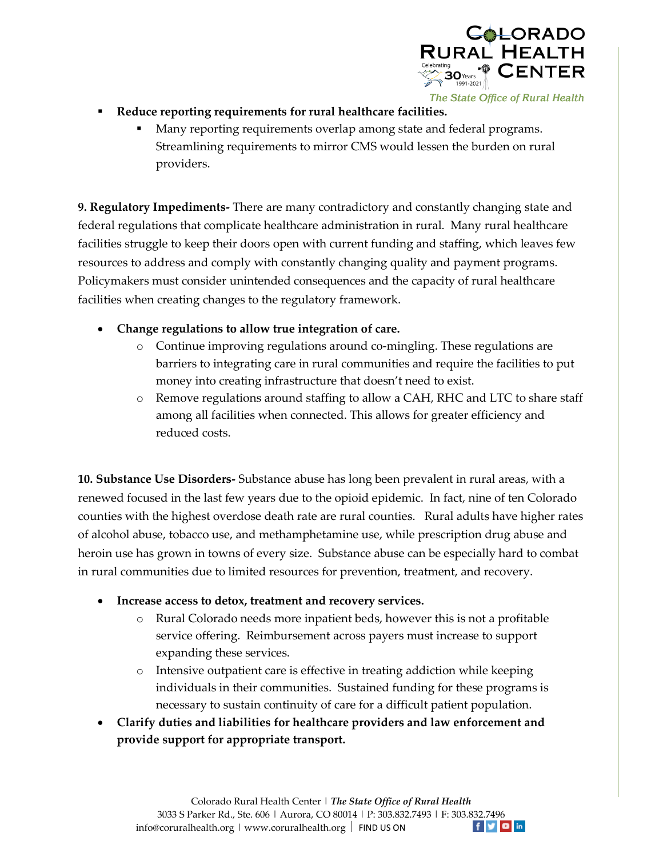

- **Reduce reporting requirements for rural healthcare facilities.**
	- Many reporting requirements overlap among state and federal programs. Streamlining requirements to mirror CMS would lessen the burden on rural providers.

**9. Regulatory Impediments-** There are many contradictory and constantly changing state and federal regulations that complicate healthcare administration in rural. Many rural healthcare facilities struggle to keep their doors open with current funding and staffing, which leaves few resources to address and comply with constantly changing quality and payment programs. Policymakers must consider unintended consequences and the capacity of rural healthcare facilities when creating changes to the regulatory framework.

- **Change regulations to allow true integration of care.** 
	- o Continue improving regulations around co-mingling. These regulations are barriers to integrating care in rural communities and require the facilities to put money into creating infrastructure that doesn't need to exist.
	- o Remove regulations around staffing to allow a CAH, RHC and LTC to share staff among all facilities when connected. This allows for greater efficiency and reduced costs.

**10. Substance Use Disorders-** Substance abuse has long been prevalent in rural areas, with a renewed focused in the last few years due to the opioid epidemic. In fact, nine of ten Colorado counties with the highest overdose death rate are rural counties. Rural adults have higher rates of alcohol abuse, tobacco use, and methamphetamine use, while prescription drug abuse and heroin use has grown in towns of every size. Substance abuse can be especially hard to combat in rural communities due to limited resources for prevention, treatment, and recovery.

- **Increase access to detox, treatment and recovery services.**
	- o Rural Colorado needs more inpatient beds, however this is not a profitable service offering. Reimbursement across payers must increase to support expanding these services.
	- o Intensive outpatient care is effective in treating addiction while keeping individuals in their communities. Sustained funding for these programs is necessary to sustain continuity of care for a difficult patient population.
- **Clarify duties and liabilities for healthcare providers and law enforcement and provide support for appropriate transport.**